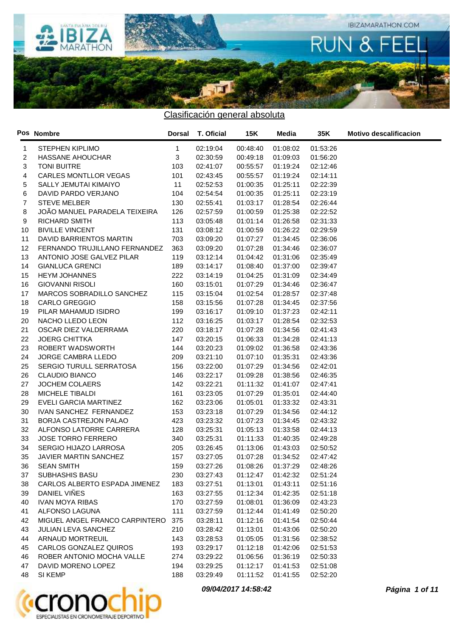

|                | Pos Nombre                     | <b>Dorsal</b> | T. Oficial | <b>15K</b> | Media    | 35K      | <b>Motivo descalificacion</b> |
|----------------|--------------------------------|---------------|------------|------------|----------|----------|-------------------------------|
| 1              | <b>STEPHEN KIPLIMO</b>         | $\mathbf{1}$  | 02:19:04   | 00:48:40   | 01:08:02 | 01:53:26 |                               |
| 2              | HASSANE AHOUCHAR               | 3             | 02:30:59   | 00:49:18   | 01:09:03 | 01:56:20 |                               |
| 3              | <b>TONI BUITRE</b>             | 103           | 02:41:07   | 00:55:57   | 01:19:24 | 02:12:46 |                               |
| 4              | CARLES MONTLLOR VEGAS          | 101           | 02:43:45   | 00:55:57   | 01:19:24 | 02:14:11 |                               |
| 5              | SALLY JEMUTAI KIMAIYO          | 11            | 02:52:53   | 01:00:35   | 01:25:11 | 02:22:39 |                               |
| 6              | DAVID PARDO VERJANO            | 104           | 02:54:54   | 01:00:35   | 01:25:11 | 02:23:19 |                               |
| $\overline{7}$ | <b>STEVE MELBER</b>            | 130           | 02:55:41   | 01:03:17   | 01:28:54 | 02:26:44 |                               |
| 8              | JOÃO MANUEL PARADELA TEIXEIRA  | 126           | 02:57:59   | 01:00:59   | 01:25:38 | 02:22:52 |                               |
| 9              | <b>RICHARD SMITH</b>           | 113           | 03:05:48   | 01:01:14   | 01:26:58 | 02:31:33 |                               |
| 10             | <b>BIVILLE VINCENT</b>         | 131           | 03:08:12   | 01:00:59   | 01:26:22 | 02:29:59 |                               |
| 11             | DAVID BARRIENTOS MARTIN        | 703           | 03:09:20   | 01:07:27   | 01:34:45 | 02:36:06 |                               |
| 12             | FERNANDO TRUJILLANO FERNANDEZ  | 363           | 03:09:20   | 01:07:28   | 01:34:46 | 02:36:07 |                               |
| 13             | ANTONIO JOSE GALVEZ PILAR      | 119           | 03:12:14   | 01:04:42   | 01:31:06 | 02:35:49 |                               |
| 14             | <b>GIANLUCA GRENCI</b>         | 189           | 03:14:17   | 01:08:40   | 01:37:00 | 02:39:47 |                               |
| 15             | <b>HEYM JOHANNES</b>           | 222           | 03:14:19   | 01:04:25   | 01:31:09 | 02:34:49 |                               |
| 16             | <b>GIOVANNI RISOLI</b>         | 160           | 03:15:01   | 01:07:29   | 01:34:46 | 02:36:47 |                               |
| 17             | MARCOS SOBRADILLO SANCHEZ      | 115           | 03:15:04   | 01:02:54   | 01:28:57 | 02:37:48 |                               |
| 18             | <b>CARLO GREGGIO</b>           | 158           | 03:15:56   | 01:07:28   | 01:34:45 | 02:37:56 |                               |
| 19             | PILAR MAHAMUD ISIDRO           | 199           | 03:16:17   | 01:09:10   | 01:37:23 | 02:42:11 |                               |
| 20             | NACHO LLEDO LEON               | 112           | 03:16:25   | 01:03:17   | 01:28:54 | 02:32:53 |                               |
| 21             | OSCAR DIEZ VALDERRAMA          | 220           | 03:18:17   | 01:07:28   | 01:34:56 | 02:41:43 |                               |
| 22             | <b>JOERG CHITTKA</b>           | 147           | 03:20:15   | 01:06:33   | 01:34:28 | 02:41:13 |                               |
| 23             | ROBERT WADSWORTH               | 144           | 03:20:23   | 01:09:02   | 01:36:58 | 02:43:36 |                               |
| 24             | JORGE CAMBRA LLEDO             | 209           | 03:21:10   | 01:07:10   | 01:35:31 | 02:43:36 |                               |
| 25             | SERGIO TURULL SERRATOSA        | 156           | 03:22:00   | 01:07:29   | 01:34:56 | 02:42:01 |                               |
| 26             | <b>CLAUDIO BIANCO</b>          | 146           | 03:22:17   | 01:09:28   | 01:38:56 | 02:46:35 |                               |
| 27             | JOCHEM COLAERS                 | 142           | 03:22:21   | 01:11:32   | 01:41:07 | 02:47:41 |                               |
| 28             | MICHELE TIBALDI                | 161           | 03:23:05   | 01:07:29   | 01:35:01 | 02:44:40 |                               |
| 29             | EVELI GARCIA MARTINEZ          | 162           | 03:23:06   | 01:05:01   | 01:33:32 | 02:43:31 |                               |
| 30             | IVAN SANCHEZ FERNANDEZ         | 153           | 03:23:18   | 01:07:29   | 01:34:56 | 02:44:12 |                               |
| 31             | BORJA CASTREJON PALAO          | 423           | 03:23:32   | 01:07:23   | 01:34:45 | 02:43:32 |                               |
| 32             | ALFONSO LATORRE CARRERA        | 128           | 03:25:31   | 01:05:13   | 01:33:58 | 02:44:13 |                               |
| 33             | <b>JOSE TORRO FERRERO</b>      | 340           | 03:25:31   | 01:11:33   | 01:40:35 | 02:49:28 |                               |
| 34             | SERGIO HIJAZO LARROSA          | 205           | 03:26:45   | 01:13:06   | 01:43:03 | 02:50:52 |                               |
| 35             | <b>JAVIER MARTIN SANCHEZ</b>   | 157           | 03:27:05   | 01:07:28   | 01:34:52 | 02:47:42 |                               |
| 36             | SEAN SMITH                     | 159           | 03:27:26   | 01:08:26   | 01:37:29 | 02:48:26 |                               |
| 37             | SUBHASHIS BASU                 | 230           | 03:27:43   | 01:12:47   | 01:42:32 | 02:51:24 |                               |
| 38             | CARLOS ALBERTO ESPADA JIMENEZ  | 183           | 03:27:51   | 01:13:01   | 01:43:11 | 02:51:16 |                               |
| 39             | DANIEL VINES                   | 163           | 03:27:55   | 01:12:34   | 01:42:35 | 02:51:18 |                               |
| 40             | <b>IVAN MOYA RIBAS</b>         | 170           | 03:27:59   | 01:08:01   | 01:36:09 | 02:43:23 |                               |
| 41             | ALFONSO LAGUNA                 | 111           | 03:27:59   | 01:12:44   | 01:41:49 | 02:50:20 |                               |
| 42             | MIGUEL ANGEL FRANCO CARPINTERO | 375           | 03:28:11   | 01:12:16   | 01:41:54 | 02:50:44 |                               |
| 43             | <b>JULIAN LEVA SANCHEZ</b>     | 210           | 03:28:42   | 01:13:01   | 01:43:06 | 02:50:20 |                               |
| 44             | ARNAUD MORTREUIL               | 143           | 03:28:53   | 01:05:05   | 01:31:56 | 02:38:52 |                               |
| 45             | CARLOS GONZALEZ QUIROS         | 193           | 03:29:17   | 01:12:18   | 01:42:06 | 02:51:53 |                               |
| 46             | ROBER ANTONIO MOCHA VALLE      | 274           | 03:29:22   | 01:06:56   | 01:36:19 | 02:50:33 |                               |
| 47             | DAVID MORENO LOPEZ             | 194           | 03:29:25   | 01:12:17   | 01:41:53 | 02:51:08 |                               |
| 48             | SI KEMP                        | 188           | 03:29:49   | 01:11:52   | 01:41:55 | 02:52:20 |                               |



**09/04/2017 14:58:42 Página 1 of 11**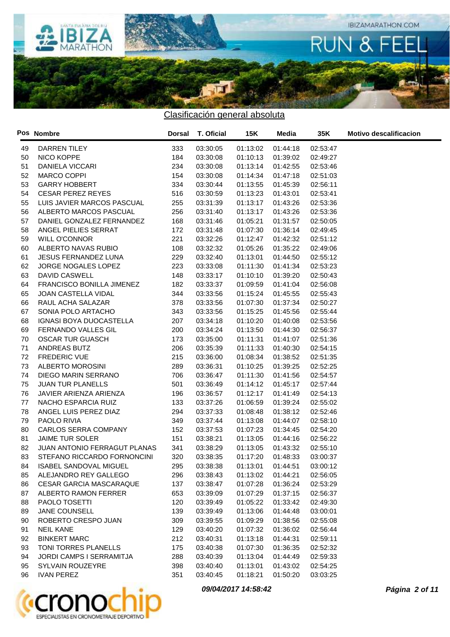

|    | Pos Nombre                     |     | Dorsal T. Oficial | 15K      | Media    | 35K      | <b>Motivo descalificacion</b> |
|----|--------------------------------|-----|-------------------|----------|----------|----------|-------------------------------|
| 49 | DARREN TILEY                   | 333 | 03:30:05          | 01:13:02 | 01:44:18 | 02:53:47 |                               |
| 50 | NICO KOPPE                     | 184 | 03:30:08          | 01:10:13 | 01:39:02 | 02:49:27 |                               |
| 51 | <b>DANIELA VICCARI</b>         | 234 | 03:30:08          | 01:13:14 | 01:42:55 | 02:53:46 |                               |
| 52 | <b>MARCO COPPI</b>             | 154 | 03:30:08          | 01:14:34 | 01:47:18 | 02:51:03 |                               |
| 53 | <b>GARRY HOBBERT</b>           | 334 | 03:30:44          | 01:13:55 | 01:45:39 | 02:56:11 |                               |
| 54 | <b>CESAR PEREZ REYES</b>       | 516 | 03:30:59          | 01:13:23 | 01:43:01 | 02:53:41 |                               |
| 55 | LUIS JAVIER MARCOS PASCUAL     | 255 | 03:31:39          | 01:13:17 | 01:43:26 | 02:53:36 |                               |
| 56 | ALBERTO MARCOS PASCUAL         | 256 | 03:31:40          | 01:13:17 | 01:43:26 | 02:53:36 |                               |
| 57 | DANIEL GONZALEZ FERNANDEZ      | 168 | 03:31:46          | 01:05:21 | 01:31:57 | 02:50:05 |                               |
| 58 | ANGEL PIELIES SERRAT           | 172 | 03:31:48          | 01:07:30 | 01:36:14 | 02:49:45 |                               |
| 59 | <b>WILL O'CONNOR</b>           | 221 | 03:32:26          | 01:12:47 | 01:42:32 | 02:51:12 |                               |
| 60 | ALBERTO NAVAS RUBIO            | 108 | 03:32:32          | 01:05:26 | 01:35:22 | 02:49:06 |                               |
| 61 | <b>JESUS FERNANDEZ LUNA</b>    | 229 | 03:32:40          | 01:13:01 | 01:44:50 | 02:55:12 |                               |
| 62 | JORGE NOGALES LOPEZ            | 223 | 03:33:08          | 01:11:30 | 01:41:34 | 02:53:23 |                               |
| 63 | DAVID CASWELL                  | 148 | 03:33:17          | 01:10:10 | 01:39:20 | 02:50:43 |                               |
| 64 | FRANCISCO BONILLA JIMENEZ      | 182 | 03:33:37          | 01:09:59 | 01:41:04 | 02:56:08 |                               |
| 65 | JOAN CASTELLA VIDAL            | 344 | 03:33:56          | 01:15:24 | 01:45:55 | 02:55:43 |                               |
| 66 | RAUL ACHA SALAZAR              | 378 | 03:33:56          | 01:07:30 | 01:37:34 | 02:50:27 |                               |
| 67 | SONIA POLO ARTACHO             | 343 | 03:33:56          | 01:15:25 | 01:45:56 | 02:55:44 |                               |
| 68 | IGNASI BOYA DUOCASTELLA        | 207 | 03:34:18          | 01:10:20 | 01:40:08 | 02:53:56 |                               |
| 69 | <b>FERNANDO VALLES GIL</b>     | 200 | 03:34:24          | 01:13:50 | 01:44:30 | 02:56:37 |                               |
| 70 | <b>OSCAR TUR GUASCH</b>        | 173 | 03:35:00          | 01:11:31 | 01:41:07 | 02:51:36 |                               |
| 71 | ANDREAS BUTZ                   | 206 | 03:35:39          | 01:11:33 | 01:40:30 | 02:54:15 |                               |
| 72 | FREDERIC VUE                   | 215 | 03:36:00          | 01:08:34 | 01:38:52 | 02:51:35 |                               |
| 73 | ALBERTO MOROSINI               | 289 | 03:36:31          | 01:10:25 | 01:39:25 | 02:52:25 |                               |
| 74 | DIEGO MARIN SERRANO            | 706 | 03:36:47          | 01:11:30 | 01:41:56 | 02:54:57 |                               |
| 75 | <b>JUAN TUR PLANELLS</b>       | 501 | 03:36:49          | 01:14:12 | 01:45:17 | 02:57:44 |                               |
| 76 | JAVIER ARIENZA ARIENZA         | 196 | 03:36:57          | 01:12:17 | 01:41:49 | 02:54:13 |                               |
| 77 | NACHO ESPARCIA RUIZ            | 133 | 03:37:26          | 01:06:59 | 01:39:24 | 02:55:02 |                               |
| 78 | ANGEL LUIS PEREZ DIAZ          | 294 | 03:37:33          | 01:08:48 | 01:38:12 | 02:52:46 |                               |
| 79 | PAOLO RIVIA                    | 349 | 03:37:44          | 01:13:08 | 01:44:07 | 02:58:10 |                               |
| 80 | CARLOS SERRA COMPANY           | 152 | 03:37:53          | 01:07:23 | 01:34:45 | 02:54:20 |                               |
| 81 | JAIME TUR SOLER                | 151 | 03:38:21          | 01:13:05 | 01:44:16 | 02:56:22 |                               |
| 82 | JUAN ANTONIO FERRAGUT PLANAS   | 341 | 03:38:29          | 01:13:05 | 01:43:32 | 02:55:10 |                               |
| 83 | STEFANO RICCARDO FORNONCINI    | 320 | 03:38:35          | 01:17:20 | 01:48:33 | 03:00:37 |                               |
| 84 | ISABEL SANDOVAL MIGUEL         | 295 | 03:38:38          | 01:13:01 | 01:44:51 | 03:00:12 |                               |
| 85 | ALEJANDRO REY GALLEGO          | 296 | 03:38:43          | 01:13:02 | 01:44:21 | 02:56:05 |                               |
| 86 | <b>CESAR GARCIA MASCARAQUE</b> | 137 | 03:38:47          | 01:07:28 | 01:36:24 | 02:53:29 |                               |
| 87 | ALBERTO RAMON FERRER           | 653 | 03:39:09          | 01:07:29 | 01:37:15 | 02:56:37 |                               |
| 88 | PAOLO TOSETTI                  | 120 | 03:39:49          | 01:05:22 | 01:33:42 | 02:49:30 |                               |
| 89 | JANE COUNSELL                  | 139 | 03:39:49          | 01:13:06 | 01:44:48 | 03:00:01 |                               |
| 90 | ROBERTO CRESPO JUAN            | 309 | 03:39:55          | 01:09:29 | 01:38:56 | 02:55:08 |                               |
| 91 | <b>NEIL KANE</b>               | 129 | 03:40:20          | 01:07:32 | 01:36:02 | 02:56:44 |                               |
| 92 | <b>BINKERT MARC</b>            | 212 | 03:40:31          | 01:13:18 | 01:44:31 | 02:59:11 |                               |
| 93 | TONI TORRES PLANELLS           | 175 | 03:40:38          | 01:07:30 | 01:36:35 | 02:52:32 |                               |
| 94 | JORDI CAMPS I SERRAMITJA       | 288 | 03:40:39          | 01:13:04 | 01:44:49 | 02:59:33 |                               |
| 95 | SYLVAIN ROUZEYRE               | 398 | 03:40:40          | 01:13:01 | 01:43:02 | 02:54:25 |                               |
| 96 | <b>IVAN PEREZ</b>              | 351 | 03:40:45          | 01:18:21 | 01:50:20 | 03:03:25 |                               |



**09/04/2017 14:58:42 Página 2 of 11**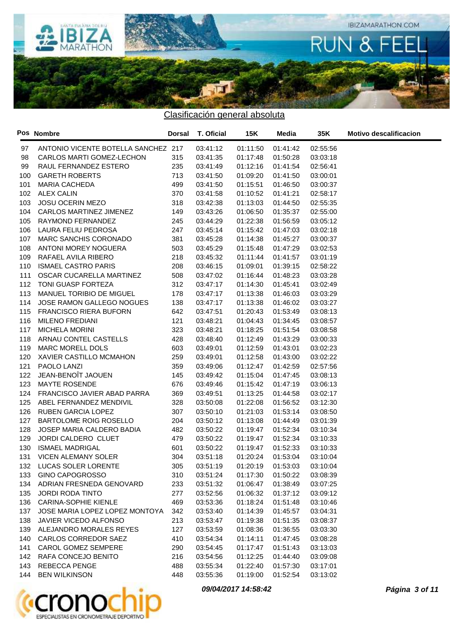

|     | Pos Nombre                          |     | Dorsal T. Oficial | 15K      | Media                        | 35K      | <b>Motivo descalificacion</b> |
|-----|-------------------------------------|-----|-------------------|----------|------------------------------|----------|-------------------------------|
| 97  | ANTONIO VICENTE BOTELLA SANCHEZ 217 |     | 03:41:12          | 01:11:50 | 01:41:42                     | 02:55:56 |                               |
| 98  | CARLOS MARTI GOMEZ-LECHON           | 315 | 03:41:35          | 01:17:48 | 01:50:28                     | 03:03:18 |                               |
| 99  | RAUL FERNANDEZ ESTERO               | 235 | 03:41:49          | 01:12:16 | 01:41:54                     | 02:56:41 |                               |
| 100 | <b>GARETH ROBERTS</b>               | 713 | 03:41:50          | 01:09:20 | 01:41:50                     | 03:00:01 |                               |
| 101 | MARIA CACHEDA                       | 499 | 03:41:50          | 01:15:51 | 01:46:50                     | 03:00:37 |                               |
| 102 | <b>ALEX CALIN</b>                   | 370 | 03:41:58          | 01:10:52 | 01:41:21                     | 02:58:17 |                               |
| 103 | JOSU OCERIN MEZO                    | 318 | 03:42:38          | 01:13:03 | 01:44:50                     | 02:55:35 |                               |
| 104 | CARLOS MARTINEZ JIMENEZ             | 149 | 03:43:26          | 01:06:50 | 01:35:37                     | 02:55:00 |                               |
| 105 | RAYMOND FERNANDEZ                   | 245 | 03:44:29          | 01:22:38 | 01:56:59                     | 03:05:12 |                               |
| 106 | LAURA FELIU PEDROSA                 | 247 | 03:45:14          | 01:15:42 | 01:47:03                     | 03:02:18 |                               |
| 107 | MARC SANCHIS CORONADO               | 381 | 03:45:28          | 01:14:38 | 01:45:27                     | 03:00:37 |                               |
| 108 | ANTONI MOREY NOGUERA                | 503 | 03:45:29          | 01:15:48 | 01:47:29                     | 03:02:53 |                               |
| 109 | RAFAEL AVILA RIBERO                 | 218 | 03:45:32          | 01:11:44 | 01:41:57                     | 03:01:19 |                               |
| 110 | <b>ISMAEL CASTRO PARIS</b>          | 208 | 03:46:15          | 01:09:01 | 01:39:15                     | 02:58:22 |                               |
| 111 | OSCAR CUCARELLA MARTINEZ            | 508 | 03:47:02          | 01:16:44 | 01:48:23                     | 03:03:28 |                               |
| 112 | TONI GUASP FORTEZA                  | 312 | 03:47:17          | 01:14:30 | 01:45:41                     | 03:02:49 |                               |
| 113 | MANUEL TORIBIO DE MIGUEL            | 178 | 03:47:17          | 01:13:38 | 01:46:03                     | 03:03:29 |                               |
| 114 | JOSE RAMON GALLEGO NOGUES           | 138 | 03:47:17          | 01:13:38 | 01:46:02                     | 03:03:27 |                               |
| 115 | <b>FRANCISCO RIERA BUFORN</b>       | 642 | 03:47:51          | 01:20:43 | 01:53:49                     | 03:08:13 |                               |
| 116 | <b>MILENO FREDIANI</b>              | 121 | 03:48:21          | 01:04:43 | 01:34:45                     | 03:08:57 |                               |
| 117 | <b>MICHELA MORINI</b>               | 323 | 03:48:21          | 01:18:25 | 01:51:54                     | 03:08:58 |                               |
| 118 | ARNAU CONTEL CASTELLS               | 428 | 03:48:40          | 01:12:49 | 01:43:29                     | 03:00:33 |                               |
| 119 | MARC MORELL DOLS                    | 603 | 03:49:01          | 01:12:59 | 01:43:01                     | 03:02:23 |                               |
| 120 | XAVIER CASTILLO MCMAHON             | 259 | 03:49:01          | 01:12:58 | 01:43:00                     | 03:02:22 |                               |
| 121 | PAOLO LANZI                         | 359 | 03:49:06          | 01:12:47 | 01:42:59                     | 02:57:56 |                               |
| 122 | JEAN-BENOÎT JAOUEN                  | 145 | 03:49:42          | 01:15:04 | 01:47:45                     | 03:08:13 |                               |
| 123 | <b>MAYTE ROSENDE</b>                | 676 | 03:49:46          | 01:15:42 | 01:47:19                     | 03:06:13 |                               |
| 124 | FRANCISCO JAVIER ABAD PARRA         | 369 | 03:49:51          | 01:13:25 | 01:44:58                     | 03:02:17 |                               |
| 125 | ABEL FERNANDEZ MENDIVIL             | 328 | 03:50:08          | 01:22:08 | 01:56:52                     | 03:12:30 |                               |
| 126 | <b>RUBEN GARCIA LOPEZ</b>           | 307 | 03:50:10          | 01:21:03 | 01:53:14                     | 03:08:50 |                               |
| 127 | BARTOLOME ROIG ROSELLO              | 204 | 03:50:12          | 01:13:08 | 01:44:49                     | 03:01:39 |                               |
| 128 | JOSEP MARIA CALDERO BADIA           | 482 | 03:50:22          | 01:19:47 | 01:52:34                     | 03:10:34 |                               |
| 129 | JORDI CALDERO CLUET                 | 479 | 03:50:22          | 01:19:47 | 01:52:34                     | 03:10:33 |                               |
| 130 | <b>ISMAEL MADRIGAL</b>              | 601 | 03:50:22          | 01:19:47 | 01:52:33                     | 03:10:33 |                               |
| 131 | VICEN ALEMANY SOLER                 | 304 | 03:51:18          | 01:20:24 | 01:53:04                     | 03:10:04 |                               |
|     | 132 LUCAS SOLER LORENTE             | 305 | 03:51:19          |          | 01:20:19  01:53:03  03:10:04 |          |                               |
|     | 133 GINO CAPOGROSSO                 | 310 | 03:51:24          | 01:17:30 | 01:50:22                     | 03:08:39 |                               |
|     | 134 ADRIAN FRESNEDA GENOVARD        | 233 | 03:51:32          | 01:06:47 | 01:38:49                     | 03:07:25 |                               |
| 135 | JORDI RODA TINTO                    | 277 | 03:52:56          | 01:06:32 | 01:37:12                     | 03:09:12 |                               |
|     | 136 CARINA-SOPHIE KIENLE            | 469 | 03:53:36          | 01:18:24 | 01:51:48                     | 03:10:46 |                               |
| 137 | JOSE MARIA LOPEZ LOPEZ MONTOYA      | 342 | 03:53:40          | 01:14:39 | 01:45:57                     | 03:04:31 |                               |
| 138 | JAVIER VICEDO ALFONSO               | 213 | 03:53:47          | 01:19:38 | 01:51:35                     | 03:08:37 |                               |
|     | 139 ALEJANDRO MORALES REYES         | 127 | 03:53:59          | 01:08:36 | 01:36:55                     | 03:03:30 |                               |
| 140 | <b>CARLOS CORREDOR SAEZ</b>         | 410 | 03:54:34          | 01:14:11 | 01:47:45                     | 03:08:28 |                               |
| 141 | CAROL GOMEZ SEMPERE                 | 290 | 03:54:45          | 01:17:47 | 01:51:43                     | 03:13:03 |                               |
|     | 142 RAFA CONCEJO BENITO             | 216 | 03:54:56          | 01:12:25 | 01:44:40                     | 03:09:08 |                               |
| 143 | <b>REBECCA PENGE</b>                | 488 | 03:55:34          | 01:22:40 | 01:57:30                     | 03:17:01 |                               |
| 144 | <b>BEN WILKINSON</b>                | 448 | 03:55:36          | 01:19:00 | 01:52:54                     | 03:13:02 |                               |



**09/04/2017 14:58:42 Página 3 of 11**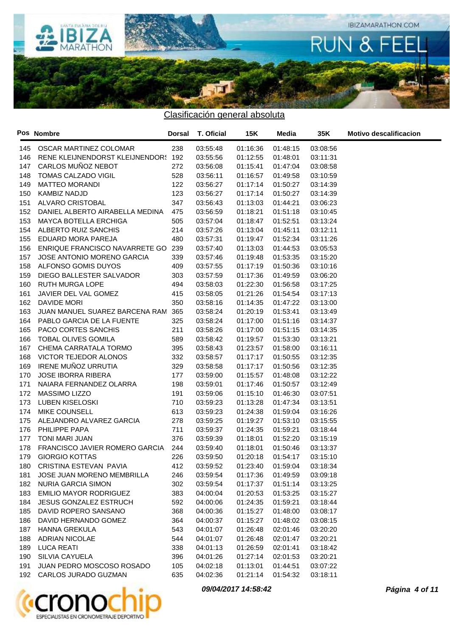

|       | Pos Nombre                          | <b>Dorsal</b> | T. Oficial | 15K      | Media    | 35K      | <b>Motivo descalificacion</b> |
|-------|-------------------------------------|---------------|------------|----------|----------|----------|-------------------------------|
| 145   | OSCAR MARTINEZ COLOMAR              | 238           | 03:55:48   | 01:16:36 | 01:48:15 | 03:08:56 |                               |
| 146   | RENE KLEIJNENDORST KLEIJNENDOR: 192 |               | 03:55:56   | 01:12:55 | 01:48:01 | 03:11:31 |                               |
| 147   | CARLOS MUÑOZ NEBOT                  | 272           | 03:56:08   | 01:15:41 | 01:47:04 | 03:08:58 |                               |
| 148   | TOMAS CALZADO VIGIL                 | 528           | 03:56:11   | 01:16:57 | 01:49:58 | 03:10:59 |                               |
| 149   | <b>MATTEO MORANDI</b>               | 122           | 03:56:27   | 01:17:14 | 01:50:27 | 03:14:39 |                               |
| 150   | <b>KAMBIZ NADJD</b>                 | 123           | 03:56:27   | 01:17:14 | 01:50:27 | 03:14:39 |                               |
| 151   | ALVARO CRISTOBAL                    | 347           | 03:56:43   | 01:13:03 | 01:44:21 | 03:06:23 |                               |
| 152   | DANIEL ALBERTO AIRABELLA MEDINA     | 475           | 03:56:59   | 01:18:21 | 01:51:18 | 03:10:45 |                               |
| 153   | MAYCA BOTELLA ERCHIGA               | 505           | 03:57:04   | 01:18:47 | 01:52:51 | 03:13:24 |                               |
| 154   | ALBERTO RUIZ SANCHIS                | 214           | 03:57:26   | 01:13:04 | 01:45:11 | 03:12:11 |                               |
| 155   | EDUARD MORA PAREJA                  | 480           | 03:57:31   | 01:19:47 | 01:52:34 | 03:11:26 |                               |
| 156   | ENRIQUE FRANCISCO NAVARRETE GO 239  |               | 03:57:40   | 01:13:03 | 01:44:53 | 03:05:53 |                               |
| 157   | JOSE ANTONIO MORENO GARCIA          | 339           | 03:57:46   | 01:19:48 | 01:53:35 | 03:15:20 |                               |
| 158   | ALFONSO GOMIS DUYOS                 | 409           | 03:57:55   | 01:17:19 | 01:50:36 | 03:10:16 |                               |
| 159   | DIEGO BALLESTER SALVADOR            | 303           | 03:57:59   | 01:17:36 | 01:49:59 | 03:06:20 |                               |
| 160   | RUTH MURGA LOPE                     | 494           | 03:58:03   | 01:22:30 | 01:56:58 | 03:17:25 |                               |
| 161   | JAVIER DEL VAL GOMEZ                | 415           | 03:58:05   | 01:21:26 | 01:54:54 | 03:17:13 |                               |
| 162   | DAVIDE MORI                         | 350           | 03:58:16   | 01:14:35 | 01:47:22 | 03:13:00 |                               |
| 163   | JUAN MANUEL SUAREZ BARCENA RAM      | 365           | 03:58:24   | 01:20:19 | 01:53:41 | 03:13:49 |                               |
| 164   | PABLO GARCIA DE LA FUENTE           | 325           | 03:58:24   | 01:17:00 | 01:51:16 | 03:14:37 |                               |
| 165   | PACO CORTES SANCHIS                 | 211           | 03:58:26   | 01:17:00 | 01:51:15 | 03:14:35 |                               |
| 166   | TOBAL OLIVES GOMILA                 | 589           | 03:58:42   | 01:19:57 | 01:53:30 | 03:13:21 |                               |
| 167   | CHEMA CARRATALA TORMO               | 395           | 03:58:43   | 01:23:57 | 01:58:00 | 03:16:11 |                               |
| 168   | VICTOR TEJEDOR ALONOS               | 332           | 03:58:57   | 01:17:17 | 01:50:55 | 03:12:35 |                               |
| 169   | IRENE MUÑOZ URRUTIA                 | 329           | 03:58:58   | 01:17:17 | 01:50:56 | 03:12:35 |                               |
| 170   | <b>JOSE IBORRA RIBERA</b>           | 177           | 03:59:00   | 01:15:57 | 01:48:08 | 03:12:22 |                               |
| 171   | NAIARA FERNANDEZ OLARRA             | 198           | 03:59:01   | 01:17:46 | 01:50:57 | 03:12:49 |                               |
| 172   | MASSIMO LIZZO                       | 191           | 03:59:06   | 01:15:10 | 01:46:30 | 03:07:51 |                               |
| 173   | LUBEN KISELOSKI                     | 710           | 03:59:23   | 01:13:28 | 01:47:34 | 03:13:51 |                               |
| 174   | <b>MIKE COUNSELL</b>                | 613           | 03:59:23   | 01:24:38 | 01:59:04 | 03:16:26 |                               |
| 175   | ALEJANDRO ALVAREZ GARCIA            | 278           | 03:59:25   | 01:19:27 | 01:53:10 | 03:15:55 |                               |
| 176   | PHILIPPE PAPA                       | 711           | 03:59:37   | 01:24:35 | 01:59:21 | 03:18:44 |                               |
| 177   | TONI MARI JUAN                      | 376           | 03:59:39   | 01:18:01 | 01:52:20 | 03:15:19 |                               |
| 178   | FRANCISCO JAVIER ROMERO GARCIA      | 244           | 03:59:40   | 01:18:01 | 01:50:46 | 03:13:37 |                               |
| 179   | <b>GIORGIO KOTTAS</b>               | 226           | 03:59:50   | 01:20:18 | 01:54:17 | 03:15:10 |                               |
| 180 - | CRISTINA ESTEVAN PAVIA              | 412           | 03:59:52   | 01:23:40 | 01:59:04 | 03:18:34 |                               |
| 181   | JOSE JUAN MORENO MEMBRILLA          | 246           | 03:59:54   | 01:17:36 | 01:49:59 | 03:09:18 |                               |
|       | 182 NURIA GARCIA SIMON              | 302           | 03:59:54   | 01:17:37 | 01:51:14 | 03:13:25 |                               |
| 183   | <b>EMILIO MAYOR RODRIGUEZ</b>       | 383           | 04:00:04   | 01:20:53 | 01:53:25 | 03:15:27 |                               |
| 184   | <b>JESUS GONZALEZ ESTRUCH</b>       | 592           | 04:00:06   | 01:24:35 | 01:59:21 | 03:18:44 |                               |
| 185   | DAVID ROPERO SANSANO                | 368           | 04:00:36   | 01:15:27 | 01:48:00 | 03:08:17 |                               |
| 186   | DAVID HERNANDO GOMEZ                | 364           | 04:00:37   | 01:15:27 | 01:48:02 | 03:08:15 |                               |
| 187   | HANNA GREKULA                       | 543           | 04:01:07   | 01:26:48 | 02:01:46 | 03:20:20 |                               |
| 188   | ADRIAN NICOLAE                      | 544           | 04:01:07   | 01:26:48 | 02:01:47 | 03:20:21 |                               |
| 189   | <b>LUCA REATI</b>                   | 338           | 04:01:13   | 01:26:59 | 02:01:41 | 03:18:42 |                               |
| 190   | SILVIA CAYUELA                      | 396           | 04:01:26   | 01:27:14 | 02:01:53 | 03:20:21 |                               |
| 191   | JUAN PEDRO MOSCOSO ROSADO           | 105           | 04:02:18   | 01:13:01 | 01:44:51 | 03:07:22 |                               |
|       | 192 CARLOS JURADO GUZMAN            | 635           | 04:02:36   | 01:21:14 | 01:54:32 | 03:18:11 |                               |



**09/04/2017 14:58:42 Página 4 of 11**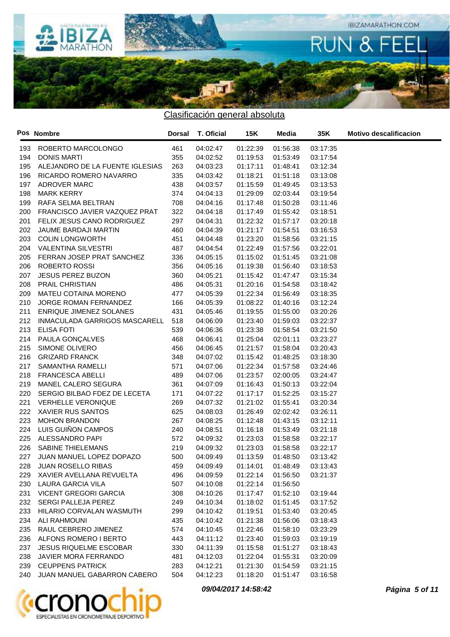

|     | Pos Nombre                      | <b>Dorsal</b> | T. Oficial | <b>15K</b> | Media    | 35K      | <b>Motivo descalificacion</b> |
|-----|---------------------------------|---------------|------------|------------|----------|----------|-------------------------------|
| 193 | ROBERTO MARCOLONGO              | 461           | 04:02:47   | 01:22:39   | 01:56:38 | 03:17:35 |                               |
| 194 | <b>DONIS MARTI</b>              | 355           | 04:02:52   | 01:19:53   | 01:53:49 | 03:17:54 |                               |
| 195 | ALEJANDRO DE LA FUENTE IGLESIAS | 263           | 04:03:23   | 01:17:11   | 01:48:41 | 03:12:34 |                               |
| 196 | RICARDO ROMERO NAVARRO          | 335           | 04:03:42   | 01:18:21   | 01:51:18 | 03:13:08 |                               |
| 197 | ADROVER MARC                    | 438           | 04:03:57   | 01:15:59   | 01:49:45 | 03:13:53 |                               |
| 198 | <b>MARK KERRY</b>               | 374           | 04:04:13   | 01:29:09   | 02:03:44 | 03:19:54 |                               |
| 199 | RAFA SELMA BELTRAN              | 708           | 04:04:16   | 01:17:48   | 01:50:28 | 03:11:46 |                               |
| 200 | FRANCISCO JAVIER VAZQUEZ PRAT   | 322           | 04:04:18   | 01:17:49   | 01:55:42 | 03:18:51 |                               |
| 201 | FELIX JESUS CANO RODRIGUEZ      | 297           | 04:04:31   | 01:22:32   | 01:57:17 | 03:20:18 |                               |
| 202 | JAUME BARDAJI MARTIN            | 460           | 04:04:39   | 01:21:17   | 01:54:51 | 03:16:53 |                               |
| 203 | <b>COLIN LONGWORTH</b>          | 451           | 04:04:48   | 01:23:20   | 01:58:56 | 03:21:15 |                               |
| 204 | <b>VALENTINA SILVESTRI</b>      | 487           | 04:04:54   | 01:22:49   | 01:57:56 | 03:22:01 |                               |
| 205 | FERRAN JOSEP PRAT SANCHEZ       | 336           | 04:05:15   | 01:15:02   | 01:51:45 | 03:21:08 |                               |
| 206 | ROBERTO ROSSI                   | 356           | 04:05:16   | 01:19:38   | 01:56:40 | 03:18:53 |                               |
| 207 | <b>JESUS PEREZ BUZON</b>        | 360           | 04:05:21   | 01:15:42   | 01:47:47 | 03:15:34 |                               |
| 208 | PRAIL CHRISTIAN                 | 486           | 04:05:31   | 01:20:16   | 01:54:58 | 03:18:42 |                               |
| 209 | MATEU COTAINA MORENO            | 477           | 04:05:39   | 01:22:34   | 01:56:49 | 03:18:35 |                               |
| 210 | JORGE ROMAN FERNANDEZ           | 166           | 04:05:39   | 01:08:22   | 01:40:16 | 03:12:24 |                               |
| 211 | ENRIQUE JIMENEZ SOLANES         | 431           | 04:05:46   | 01:19:55   | 01:55:00 | 03:20:26 |                               |
| 212 | INMACULADA GARRIGOS MASCARELL   | 518           | 04:06:09   | 01:23:40   | 01:59:03 | 03:22:37 |                               |
| 213 | <b>ELISA FOTI</b>               | 539           | 04:06:36   | 01:23:38   | 01:58:54 | 03:21:50 |                               |
| 214 | PAULA GONÇALVES                 | 468           | 04:06:41   | 01:25:04   | 02:01:11 | 03:23:27 |                               |
| 215 | SIMONE OLIVERO                  | 456           | 04:06:45   | 01:21:57   | 01:58:04 | 03:20:43 |                               |
| 216 | <b>GRIZARD FRANCK</b>           | 348           | 04:07:02   | 01:15:42   | 01:48:25 | 03:18:30 |                               |
| 217 | SAMANTHA RAMELLI                | 571           | 04:07:06   | 01:22:34   | 01:57:58 | 03:24:46 |                               |
| 218 | FRANCESCA ABELLI                | 489           | 04:07:06   | 01:23:57   | 02:00:05 | 03:24:47 |                               |
| 219 | MANEL CALERO SEGURA             | 361           | 04:07:09   | 01:16:43   | 01:50:13 | 03:22:04 |                               |
| 220 | SERGIO BILBAO FDEZ DE LECETA    | 171           | 04:07:22   | 01:17:17   | 01:52:25 | 03:15:27 |                               |
| 221 | <b>VERHELLE VERONIQUE</b>       | 269           | 04:07:32   | 01:21:02   | 01:55:41 | 03:20:34 |                               |
| 222 | XAVIER RUS SANTOS               | 625           | 04:08:03   | 01:26:49   | 02:02:42 | 03:26:11 |                               |
| 223 | <b>MOHON BRANDON</b>            | 267           | 04:08:25   | 01:12:48   | 01:43:15 | 03:12:11 |                               |
| 224 | LUIS GUIÑON CAMPOS              | 240           | 04:08:51   | 01:16:18   | 01:53:49 | 03:21:18 |                               |
| 225 | ALESSANDRO PAPI                 | 572           | 04:09:32   | 01:23:03   | 01:58:58 | 03:22:17 |                               |
| 226 | SABINE THIELEMANS               | 219           | 04:09:32   | 01:23:03   | 01:58:58 | 03:22:17 |                               |
| 227 | JUAN MANUEL LOPEZ DOPAZO        | 500           | 04:09:49   | 01:13:59   | 01:48:50 | 03:13:42 |                               |
|     | 228 JUAN ROSELLO RIBAS          | 459           | 04:09:49   | 01:14:01   | 01:48:49 | 03:13:43 |                               |
|     | 229 XAVIER AVELLANA REVUELTA    | 496           | 04:09:59   | 01:22:14   | 01:56:50 | 03:21:37 |                               |
|     | 230 LAURA GARCIA VILA           | 507           | 04:10:08   | 01:22:14   | 01:56:50 |          |                               |
|     | 231 VICENT GREGORI GARCIA       | 308           | 04:10:26   | 01:17:47   | 01:52:10 | 03:19:44 |                               |
|     | 232 SERGI PALLEJA PEREZ         | 249           | 04:10:34   | 01:18:02   | 01:51:45 | 03:17:52 |                               |
|     | 233 HILARIO CORVALAN WASMUTH    | 299           | 04:10:42   | 01:19:51   | 01:53:40 | 03:20:45 |                               |
|     | 234 ALI RAHMOUNI                | 435           | 04:10:42   | 01:21:38   | 01:56:06 | 03:18:43 |                               |
|     | 235 RAUL CEBRERO JIMENEZ        | 574           | 04:10:45   | 01:22:46   | 01:58:10 | 03:23:29 |                               |
|     | 236 ALFONS ROMERO I BERTO       | 443           | 04:11:12   | 01:23:40   | 01:59:03 | 03:19:19 |                               |
|     | 237 JESUS RIQUELME ESCOBAR      | 330           | 04:11:39   | 01:15:58   | 01:51:27 | 03:18:43 |                               |
|     | 238 JAVIER MORA FERRANDO        | 481           | 04:12:03   | 01:22:04   | 01:55:31 | 03:20:09 |                               |
|     | 239 CEUPPENS PATRICK            | 283           | 04:12:21   | 01:21:30   | 01:54:59 | 03:21:15 |                               |
|     | 240 JUAN MANUEL GABARRON CABERO | 504           | 04:12:23   | 01:18:20   | 01:51:47 | 03:16:58 |                               |



**09/04/2017 14:58:42 Página 5 of 11**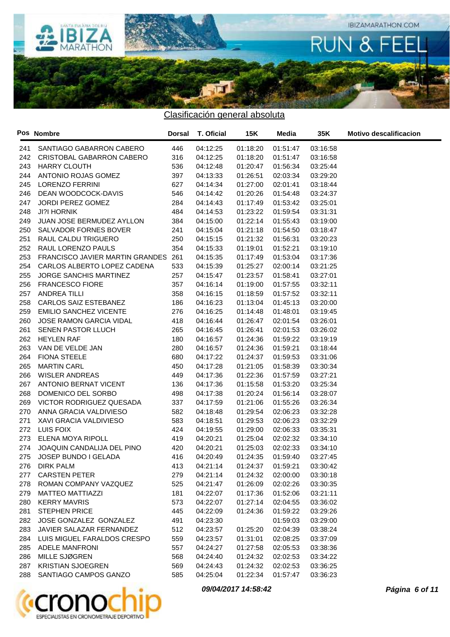

|     | Pos Nombre                      | <b>Dorsal</b> | T. Oficial | 15K      | Media    | 35K      | <b>Motivo descalificacion</b> |
|-----|---------------------------------|---------------|------------|----------|----------|----------|-------------------------------|
| 241 | SANTIAGO GABARRON CABERO        | 446           | 04:12:25   | 01:18:20 | 01:51:47 | 03:16:58 |                               |
| 242 | CRISTOBAL GABARRON CABERO       | 316           | 04:12:25   | 01:18:20 | 01:51:47 | 03:16:58 |                               |
| 243 | HARRY CLOUTH                    | 536           | 04:12:48   | 01:20:47 | 01:56:34 | 03:25:44 |                               |
| 244 | ANTONIO ROJAS GOMEZ             | 397           | 04:13:33   | 01:26:51 | 02:03:34 | 03:29:20 |                               |
| 245 | <b>LORENZO FERRINI</b>          | 627           | 04:14:34   | 01:27:00 | 02:01:41 | 03:18:44 |                               |
| 246 | DEAN WOODCOCK-DAVIS             | 546           | 04:14:42   | 01:20:26 | 01:54:48 | 03:24:37 |                               |
| 247 | <b>JORDI PEREZ GOMEZ</b>        | 284           | 04:14:43   | 01:17:49 | 01:53:42 | 03:25:01 |                               |
| 248 | <b>JI?I HORNIK</b>              | 484           | 04:14:53   | 01:23:22 | 01:59:54 | 03:31:31 |                               |
| 249 | JUAN JOSE BERMUDEZ AYLLON       | 384           | 04:15:00   | 01:22:14 | 01:55:43 | 03:19:00 |                               |
| 250 | SALVADOR FORNES BOVER           | 241           | 04:15:04   | 01:21:18 | 01:54:50 | 03:18:47 |                               |
| 251 | RAUL CALDU TRIGUERO             | 250           | 04:15:15   | 01:21:32 | 01:56:31 | 03:20:23 |                               |
| 252 | RAUL LORENZO PAULS              | 354           | 04:15:33   | 01:19:01 | 01:52:21 | 03:19:10 |                               |
| 253 | FRANCISCO JAVIER MARTIN GRANDES | 261           | 04:15:35   | 01:17:49 | 01:53:04 | 03:17:36 |                               |
| 254 | CARLOS ALBERTO LOPEZ CADENA     | 533           | 04:15:39   | 01:25:27 | 02:00:14 | 03:21:25 |                               |
| 255 | JORGE SANCHIS MARTINEZ          | 257           | 04:15:47   | 01:23:57 | 01:58:41 | 03:27:01 |                               |
| 256 | <b>FRANCESCO FIORE</b>          | 357           | 04:16:14   | 01:19:00 | 01:57:55 | 03:32:11 |                               |
| 257 | ANDREA TILLI                    | 358           | 04:16:15   | 01:18:59 | 01:57:52 | 03:32:11 |                               |
| 258 | CARLOS SAIZ ESTEBANEZ           | 186           | 04:16:23   | 01:13:04 | 01:45:13 | 03:20:00 |                               |
| 259 | <b>EMILIO SANCHEZ VICENTE</b>   | 276           | 04:16:25   | 01:14:48 | 01:48:01 | 03:19:45 |                               |
| 260 | <b>JOSE RAMON GARCIA VIDAL</b>  | 418           | 04:16:44   | 01:26:47 | 02:01:54 | 03:26:01 |                               |
| 261 | SENEN PASTOR LLUCH              | 265           | 04:16:45   | 01:26:41 | 02:01:53 | 03:26:02 |                               |
| 262 | <b>HEYLEN RAF</b>               | 180           | 04:16:57   | 01:24:36 | 01:59:22 | 03:19:19 |                               |
| 263 | VAN DE VELDE JAN                | 280           | 04:16:57   | 01:24:36 | 01:59:21 | 03:18:44 |                               |
| 264 | <b>FIONA STEELE</b>             | 680           | 04:17:22   | 01:24:37 | 01:59:53 | 03:31:06 |                               |
| 265 | <b>MARTIN CARL</b>              | 450           | 04:17:28   | 01:21:05 | 01:58:39 | 03:30:34 |                               |
| 266 | WISLER ANDREAS                  | 449           | 04:17:36   | 01:22:36 | 01:57:59 | 03:27:21 |                               |
| 267 | ANTONIO BERNAT VICENT           | 136           | 04:17:36   | 01:15:58 | 01:53:20 | 03:25:34 |                               |
| 268 | DOMENICO DEL SORBO              | 498           | 04:17:38   | 01:20:24 | 01:56:14 | 03:28:07 |                               |
| 269 | VICTOR RODRIGUEZ QUESADA        | 337           | 04:17:59   | 01:21:06 | 01:55:26 | 03:26:34 |                               |
| 270 | ANNA GRACIA VALDIVIESO          | 582           | 04:18:48   | 01:29:54 | 02:06:23 | 03:32:28 |                               |
| 271 | XAVI GRACIA VALDIVIESO          | 583           | 04:18:51   | 01:29:53 | 02:06:23 | 03:32:29 |                               |
| 272 | LUIS FOIX                       | 424           | 04:19:55   | 01:29:00 | 02:06:33 | 03:35:31 |                               |
| 273 | ELENA MOYA RIPOLL               | 419           | 04:20:21   | 01:25:04 | 02:02:32 | 03:34:10 |                               |
| 274 | JOAQUIN CANDALIJA DEL PINO      | 420           | 04:20:21   | 01:25:03 | 02:02:33 | 03:34:10 |                               |
| 275 | JOSEP BUNDO I GELADA            | 416           | 04:20:49   | 01:24:35 | 01:59:40 | 03:27:45 |                               |
| 276 | DIRK PALM                       | 413           | 04:21:14   | 01:24:37 | 01:59:21 | 03:30:42 |                               |
| 277 | <b>CARSTEN PETER</b>            | 279           | 04:21:14   | 01:24:32 | 02:00:00 | 03:30:18 |                               |
| 278 | ROMAN COMPANY VAZQUEZ           | 525           | 04:21:47   | 01:26:09 | 02:02:26 | 03:30:35 |                               |
| 279 | <b>MATTEO MATTIAZZI</b>         | 181           | 04:22:07   | 01:17:36 | 01:52:06 | 03:21:11 |                               |
| 280 | <b>KERRY MAVRIS</b>             | 573           | 04:22:07   | 01:27:14 | 02:04:55 | 03:36:02 |                               |
| 281 | <b>STEPHEN PRICE</b>            | 445           | 04:22:09   | 01:24:36 | 01:59:22 | 03:29:26 |                               |
| 282 | JOSE GONZALEZ GONZALEZ          | 491           | 04:23:30   |          | 01:59:03 | 03:29:00 |                               |
| 283 | JAVIER SALAZAR FERNANDEZ        | 512           | 04:23:57   | 01:25:20 | 02:04:39 | 03:38:24 |                               |
| 284 | LUIS MIGUEL FARALDOS CRESPO     | 559           | 04:23:57   | 01:31:01 | 02:08:25 | 03:37:09 |                               |
| 285 | <b>ADELE MANFRONI</b>           | 557           | 04:24:27   | 01:27:58 | 02:05:53 | 03:38:36 |                               |
| 286 | MILLE SJØGREN                   | 568           | 04:24:40   | 01:24:32 | 02:02:53 | 03:34:22 |                               |
| 287 | <b>KRISTIAN SJOEGREN</b>        | 569           | 04:24:43   | 01:24:32 | 02:02:53 | 03:36:25 |                               |
| 288 | SANTIAGO CAMPOS GANZO           | 585           | 04:25:04   | 01:22:34 | 01:57:47 | 03:36:23 |                               |
|     |                                 |               |            |          |          |          |                               |



**09/04/2017 14:58:42 Página 6 of 11**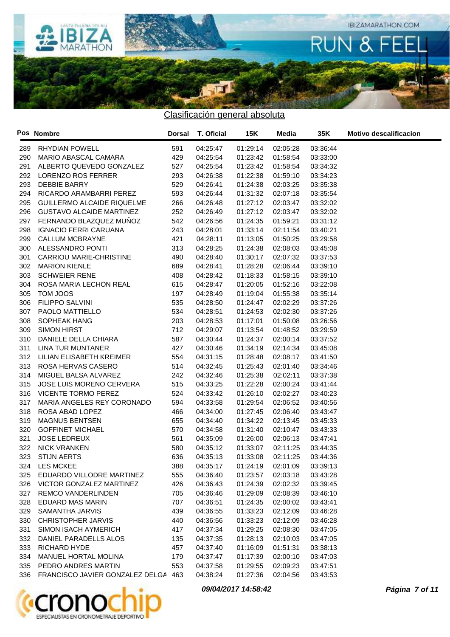

|     | Pos Nombre                              | Dorsal | <b>T. Oficial</b> | 15K      | Media    | 35K      | <b>Motivo descalificacion</b> |
|-----|-----------------------------------------|--------|-------------------|----------|----------|----------|-------------------------------|
| 289 | RHYDIAN POWELL                          | 591    | 04:25:47          | 01:29:14 | 02:05:28 | 03:36:44 |                               |
| 290 | MARIO ABASCAL CAMARA                    | 429    | 04:25:54          | 01:23:42 | 01:58:54 | 03:33:00 |                               |
| 291 | ALBERTO QUEVEDO GONZALEZ                | 527    | 04:25:54          | 01:23:42 | 01:58:54 | 03:34:32 |                               |
| 292 | LORENZO ROS FERRER                      | 293    | 04:26:38          | 01:22:38 | 01:59:10 | 03:34:23 |                               |
| 293 | <b>DEBBIE BARRY</b>                     | 529    | 04:26:41          | 01:24:38 | 02:03:25 | 03:35:38 |                               |
| 294 | RICARDO ARAMBARRI PEREZ                 | 593    | 04:26:44          | 01:31:32 | 02:07:18 | 03:35:54 |                               |
| 295 | GUILLERMO ALCAIDE RIQUELME              | 266    | 04:26:48          | 01:27:12 | 02:03:47 | 03:32:02 |                               |
| 296 | <b>GUSTAVO ALCAIDE MARTINEZ</b>         | 252    | 04:26:49          | 01:27:12 | 02:03:47 | 03:32:02 |                               |
| 297 | FERNANDO BLAZQUEZ MUÑOZ                 | 542    | 04:26:56          | 01:24:35 | 01:59:21 | 03:31:12 |                               |
| 298 | <b>IGNACIO FERRI CARUANA</b>            | 243    | 04:28:01          | 01:33:14 | 02:11:54 | 03:40:21 |                               |
| 299 | CALLUM MCBRAYNE                         | 421    | 04:28:11          | 01:13:05 | 01:50:25 | 03:29:58 |                               |
| 300 | ALESSANDRO PONTI                        | 313    | 04:28:25          | 01:24:38 | 02:08:03 | 03:45:08 |                               |
| 301 | CARRIOU MARIE-CHRISTINE                 | 490    | 04:28:40          | 01:30:17 | 02:07:32 | 03:37:53 |                               |
| 302 | <b>MARION KIENLE</b>                    | 689    | 04:28:41          | 01:28:28 | 02:06:44 | 03:39:10 |                               |
| 303 | <b>SCHWEIER RENE</b>                    | 408    | 04:28:42          | 01:18:33 | 01:58:15 | 03:39:10 |                               |
| 304 | ROSA MARIA LECHON REAL                  | 615    | 04:28:47          | 01:20:05 | 01:52:16 | 03:22:08 |                               |
| 305 | TOM JOOS                                | 197    | 04:28:49          | 01:19:04 | 01:55:38 | 03:35:14 |                               |
| 306 | FILIPPO SALVINI                         | 535    | 04:28:50          | 01:24:47 | 02:02:29 | 03:37:26 |                               |
| 307 | PAOLO MATTIELLO                         | 534    | 04:28:51          | 01:24:53 | 02:02:30 | 03:37:26 |                               |
| 308 | SOPHEAK HANG                            | 203    | 04:28:53          | 01:17:01 | 01:50:08 | 03:26:56 |                               |
| 309 | <b>SIMON HIRST</b>                      | 712    | 04:29:07          | 01:13:54 | 01:48:52 | 03:29:59 |                               |
| 310 | DANIELE DELLA CHIARA                    | 587    | 04:30:44          | 01:24:37 | 02:00:14 | 03:37:52 |                               |
| 311 | LINA TUR MUNTANER                       | 427    | 04:30:46          | 01:34:19 | 02:14:34 | 03:45:08 |                               |
| 312 | LILIAN ELISABETH KREIMER                | 554    | 04:31:15          | 01:28:48 | 02:08:17 | 03:41:50 |                               |
| 313 | ROSA HERVAS CASERO                      | 514    | 04:32:45          | 01:25:43 | 02:01:40 | 03:34:46 |                               |
| 314 | MIGUEL BALSA ALVAREZ                    | 242    | 04:32:46          | 01:25:38 | 02:02:11 | 03:37:38 |                               |
| 315 | JOSE LUIS MORENO CERVERA                | 515    | 04:33:25          | 01:22:28 | 02:00:24 | 03:41:44 |                               |
| 316 | VICENTE TORMO PEREZ                     | 524    | 04:33:42          | 01:26:10 | 02:02:27 | 03:40:23 |                               |
| 317 | MARIA ANGELES REY CORONADO              | 594    | 04:33:58          | 01:29:54 | 02:06:52 | 03:40:56 |                               |
| 318 | ROSA ABAD LOPEZ                         | 466    | 04:34:00          | 01:27:45 | 02:06:40 | 03:43:47 |                               |
| 319 | <b>MAGNUS BENTSEN</b>                   | 655    | 04:34:40          | 01:34:22 | 02:13:45 | 03:45:33 |                               |
| 320 | <b>GOFFINET MICHAEL</b>                 | 570    | 04:34:58          | 01:31:40 | 02:10:47 | 03:43:33 |                               |
| 321 | <b>JOSE LEDREUX</b>                     | 561    | 04:35:09          | 01:26:00 | 02:06:13 | 03:47:41 |                               |
| 322 | <b>NICK VRANKEN</b>                     | 580    | 04:35:12          | 01:33:07 | 02:11:25 | 03:44:35 |                               |
| 323 | <b>STIJN AERTS</b>                      | 636    | 04:35:13          | 01:33:08 | 02:11:25 | 03:44:36 |                               |
|     | 324 LES MCKEE                           | 388    | 04:35:17          | 01:24:19 | 02:01:09 | 03:39:13 |                               |
|     | 325 EDUARDO VILLODRE MARTINEZ           | 555    | 04:36:40          | 01:23:57 | 02:03:18 | 03:43:28 |                               |
|     | 326 VICTOR GONZALEZ MARTINEZ            | 426    | 04:36:43          | 01:24:39 | 02:02:32 | 03:39:45 |                               |
| 327 | <b>REMCO VANDERLINDEN</b>               | 705    | 04:36:46          | 01:29:09 | 02:08:39 | 03:46:10 |                               |
| 328 | EDUARD MAS MARIN                        | 707    | 04:36:51          | 01:24:35 | 02:00:02 | 03:43:41 |                               |
| 329 | SAMANTHA JARVIS                         | 439    | 04:36:55          | 01:33:23 | 02:12:09 | 03:46:28 |                               |
| 330 | <b>CHRISTOPHER JARVIS</b>               | 440    | 04:36:56          | 01:33:23 | 02:12:09 | 03:46:28 |                               |
| 331 | SIMON ISACH AYMERICH                    | 417    | 04:37:34          | 01:29:25 | 02:08:30 | 03:47:05 |                               |
| 332 | DANIEL PARADELLS ALOS                   | 135    | 04:37:35          | 01:28:13 | 02:10:03 | 03:47:05 |                               |
| 333 | RICHARD HYDE                            | 457    | 04:37:40          | 01:16:09 | 01:51:31 | 03:38:13 |                               |
| 334 | MANUEL HORTAL MOLINA                    | 179    | 04:37:47          | 01:17:39 | 02:00:10 | 03:47:03 |                               |
| 335 | PEDRO ANDRES MARTIN                     | 553    | 04:37:58          | 01:29:55 | 02:09:23 | 03:47:51 |                               |
|     | 336 FRANCISCO JAVIER GONZALEZ DELGA 463 |        | 04:38:24          | 01:27:36 | 02:04:56 | 03:43:53 |                               |



**09/04/2017 14:58:42 Página 7 of 11**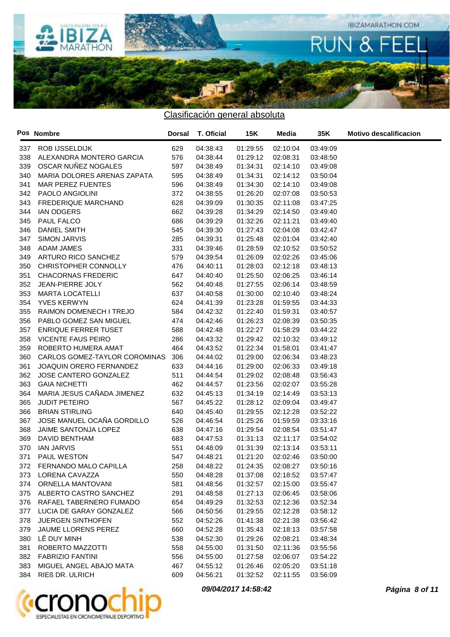

|     | Pos Nombre                     | Dorsal | <b>T. Oficial</b> | 15K      | Media    | 35K      | <b>Motivo descalificacion</b> |
|-----|--------------------------------|--------|-------------------|----------|----------|----------|-------------------------------|
|     | 337 ROB IJSSELDIJK             | 629    | 04:38:43          | 01:29:55 | 02:10:04 | 03:49:09 |                               |
| 338 | ALEXANDRA MONTERO GARCIA       | 576    | 04:38:44          | 01:29:12 | 02:08:31 | 03:48:50 |                               |
| 339 | OSCAR NUÑEZ NOGALES            | 597    | 04:38:49          | 01:34:31 | 02:14:10 | 03:49:08 |                               |
| 340 | MARIA DOLORES ARENAS ZAPATA    | 595    | 04:38:49          | 01:34:31 | 02:14:12 | 03:50:04 |                               |
| 341 | <b>MAR PEREZ FUENTES</b>       | 596    | 04:38:49          | 01:34:30 | 02:14:10 | 03:49:08 |                               |
| 342 | PAOLO ANGIOLINI                | 372    | 04:38:55          | 01:26:20 | 02:07:08 | 03:50:53 |                               |
| 343 | <b>FREDERIQUE MARCHAND</b>     | 628    | 04:39:09          | 01:30:35 | 02:11:08 | 03:47:25 |                               |
| 344 | <b>IAN ODGERS</b>              | 662    | 04:39:28          | 01:34:29 | 02:14:50 | 03:49:40 |                               |
| 345 | PAUL FALCO                     | 686    | 04:39:29          | 01:32:26 | 02:11:21 | 03:49:40 |                               |
| 346 | DANIEL SMITH                   | 545    | 04:39:30          | 01:27:43 | 02:04:08 | 03:42:47 |                               |
| 347 | SIMON JARVIS                   | 285    | 04:39:31          | 01:25:48 | 02:01:04 | 03:42:40 |                               |
| 348 | <b>ADAM JAMES</b>              | 331    | 04:39:46          | 01:28:59 | 02:10:52 | 03:50:52 |                               |
| 349 | ARTURO RICO SANCHEZ            | 579    | 04:39:54          | 01:26:09 | 02:02:26 | 03:45:06 |                               |
| 350 | CHRISTOPHER CONNOLLY           | 476    | 04:40:11          | 01:28:03 | 02:12:18 | 03:48:13 |                               |
| 351 | <b>CHACORNAS FREDERIC</b>      | 647    | 04:40:40          | 01:25:50 | 02:06:25 | 03:46:14 |                               |
| 352 | JEAN-PIERRE JOLY               | 562    | 04:40:48          | 01:27:55 | 02:06:14 | 03:48:59 |                               |
| 353 | <b>MARTA LOCATELLI</b>         | 637    | 04:40:58          | 01:30:00 | 02:10:40 | 03:48:24 |                               |
| 354 | <b>YVES KERWYN</b>             | 624    | 04:41:39          | 01:23:28 | 01:59:55 | 03:44:33 |                               |
| 355 | RAIMON DOMENECH I TREJO        | 584    | 04:42:32          | 01:22:40 | 01:59:31 | 03:40:57 |                               |
| 356 | PABLO GOMEZ SAN MIGUEL         | 474    | 04:42:46          | 01:26:23 | 02:08:39 | 03:50:35 |                               |
| 357 | <b>ENRIQUE FERRER TUSET</b>    | 588    | 04:42:48          | 01:22:27 | 01:58:29 | 03:44:22 |                               |
| 358 | <b>VICENTE FAUS PEIRO</b>      | 286    | 04:43:32          | 01:29:42 | 02:10:32 | 03:49:12 |                               |
| 359 | ROBERTO HUMERA AMAT            | 464    | 04:43:52          | 01:22:34 | 01:58:01 | 03:41:47 |                               |
| 360 | CARLOS GOMEZ-TAYLOR COROMINAS  | 306    | 04:44:02          | 01:29:00 | 02:06:34 | 03:48:23 |                               |
| 361 | <b>JOAQUIN ORERO FERNANDEZ</b> | 633    | 04:44:16          | 01:29:00 | 02:06:33 | 03:49:18 |                               |
| 362 | JOSE CANTERO GONZALEZ          | 511    | 04:44:54          | 01:29:02 | 02:08:48 | 03:56:43 |                               |
| 363 | <b>GAIA NICHETTI</b>           | 462    | 04:44:57          | 01:23:56 | 02:02:07 | 03:55:28 |                               |
| 364 | MARIA JESUS CAÑADA JIMENEZ     | 632    | 04:45:13          | 01:34:19 | 02:14:49 | 03:53:13 |                               |
| 365 | <b>JUDIT PETEIRO</b>           | 567    | 04:45:22          | 01:28:12 | 02:09:04 | 03:49:47 |                               |
| 366 | <b>BRIAN STIRLING</b>          | 640    | 04:45:40          | 01:29:55 | 02:12:28 | 03:52:22 |                               |
| 367 | JOSE MANUEL OCAÑA GORDILLO     | 526    | 04:46:54          | 01:25:26 | 01:59:59 | 03:33:16 |                               |
| 368 | JAIME SANTONJA LOPEZ           | 638    | 04:47:16          | 01:29:54 | 02:08:54 | 03:51:47 |                               |
| 369 | DAVID BENTHAM                  | 683    | 04:47:53          | 01:31:13 | 02:11:17 | 03:54:02 |                               |
| 370 | <b>IAN JARVIS</b>              | 551    | 04:48:09          | 01:31:39 | 02:13:14 | 03:53:11 |                               |
| 371 | PAUL WESTON                    | 547    | 04:48:21          | 01:21:20 | 02:02:46 | 03:50:00 |                               |
| 372 | FERNANDO MALO CAPILLA          | 258    | 04:48:22          | 01:24:35 | 02:08:27 | 03:50:16 |                               |
|     | 373 LORENA CAVAZZA             | 550    | 04:48:28          | 01:37:08 | 02:18:52 | 03:57:47 |                               |
|     | 374 ORNELLA MANTOVANI          | 581    | 04:48:56          | 01:32:57 | 02:15:00 | 03:55:47 |                               |
|     | 375 ALBERTO CASTRO SANCHEZ     | 291    | 04:48:58          | 01:27:13 | 02:06:45 | 03:58:06 |                               |
|     | 376 RAFAEL TABERNERO FUMADO    | 654    | 04:49:29          | 01:32:53 | 02:12:36 | 03:52:34 |                               |
|     | 377 LUCIA DE GARAY GONZALEZ    | 566    | 04:50:56          | 01:29:55 | 02:12:28 | 03:58:12 |                               |
|     | 378 JUERGEN SINTHOFEN          | 552    | 04:52:26          | 01:41:38 | 02:21:38 | 03:56:42 |                               |
| 379 | JAUME LLORENS PEREZ            | 660    | 04:52:28          | 01:35:43 | 02:18:13 | 03:57:58 |                               |
|     | 380 LÊ DUY MINH                | 538    | 04:52:30          | 01:29:26 | 02:08:21 | 03:48:34 |                               |
| 381 | ROBERTO MAZZOTTI               | 558    | 04:55:00          | 01:31:50 | 02:11:36 | 03:55:56 |                               |
|     | 382 FABRIZIO FANTINI           | 556    | 04:55:00          | 01:27:58 | 02:06:07 | 03:54:22 |                               |
|     | 383 MIGUEL ANGEL ABAJO MATA    | 467    | 04:55:12          | 01:26:46 | 02:05:20 | 03:51:18 |                               |
|     | 384 RIEß DR. ULRICH            | 609    | 04:56:21          | 01:32:52 | 02:11:55 | 03:56:09 |                               |



**09/04/2017 14:58:42 Página 8 of 11**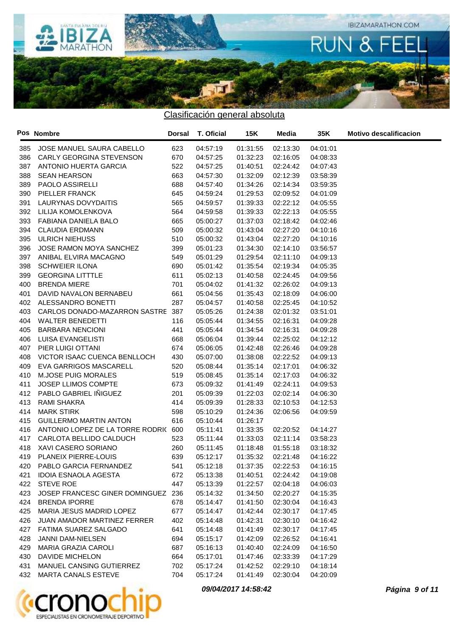

|     | Pos Nombre                          | <b>Dorsal</b> | T. Oficial | 15K      | Media    | 35K      | <b>Motivo descalificacion</b> |
|-----|-------------------------------------|---------------|------------|----------|----------|----------|-------------------------------|
|     | 385 JOSE MANUEL SAURA CABELLO       | 623           | 04:57:19   | 01:31:55 | 02:13:30 | 04:01:01 |                               |
|     | 386 CARLY GEORGINA STEVENSON        | 670           | 04:57:25   | 01:32:23 | 02:16:05 | 04:08:33 |                               |
| 387 | ANTONIO HUERTA GARCIA               | 522           | 04:57:25   | 01:40:51 | 02:24:42 | 04:07:43 |                               |
| 388 | <b>SEAN HEARSON</b>                 | 663           | 04:57:30   | 01:32:09 | 02:12:39 | 03:58:39 |                               |
| 389 | PAOLO ASSIRELLI                     | 688           | 04:57:40   | 01:34:26 | 02:14:34 | 03:59:35 |                               |
| 390 | PIELLER FRANCK                      | 645           | 04:59:24   | 01:29:53 | 02:09:52 | 04:01:09 |                               |
| 391 | LAURYNAS DOVYDAITIS                 | 565           | 04:59:57   | 01:39:33 | 02:22:12 | 04:05:55 |                               |
| 392 | LILIJA KOMOLENKOVA                  | 564           | 04:59:58   | 01:39:33 | 02:22:13 | 04:05:55 |                               |
| 393 | FABIANA DANIELA BALO                | 665           | 05:00:27   | 01:37:03 | 02:18:42 | 04:02:46 |                               |
| 394 | <b>CLAUDIA ERDMANN</b>              | 509           | 05:00:32   | 01:43:04 | 02:27:20 | 04:10:16 |                               |
| 395 | <b>ULRICH NIEHUSS</b>               | 510           | 05:00:32   | 01:43:04 | 02:27:20 | 04:10:16 |                               |
| 396 | JOSE RAMON MOYA SANCHEZ             | 399           | 05:01:23   | 01:34:30 | 02:14:10 | 03:56:57 |                               |
| 397 | ANIBAL ELVIRA MACAGNO               | 549           | 05:01:29   | 01:29:54 | 02:11:10 | 04:09:13 |                               |
| 398 | <b>SCHWEIER ILONA</b>               | 690           | 05:01:42   | 01:35:54 | 02:19:34 | 04:05:35 |                               |
| 399 | <b>GEORGINA LITTTLE</b>             | 611           | 05:02:13   | 01:40:58 | 02:24:45 | 04:09:56 |                               |
| 400 | <b>BRENDA MIERE</b>                 | 701           | 05:04:02   | 01:41:32 | 02:26:02 | 04:09:13 |                               |
| 401 | DAVID NAVALON BERNABEU              | 661           | 05:04:56   | 01:35:43 | 02:18:09 | 04:06:00 |                               |
| 402 | ALESSANDRO BONETTI                  | 287           | 05:04:57   | 01:40:58 | 02:25:45 | 04:10:52 |                               |
| 403 | CARLOS DONADO-MAZARRON SASTRE 387   |               | 05:05:26   | 01:24:38 | 02:01:32 | 03:51:01 |                               |
| 404 | <b>WALTER BENEDETTI</b>             | 116           | 05:05:44   | 01:34:55 | 02:16:31 | 04:09:28 |                               |
| 405 | <b>BARBARA NENCIONI</b>             | 441           | 05:05:44   | 01:34:54 | 02:16:31 | 04:09:28 |                               |
| 406 | LUISA EVANGELISTI                   | 668           | 05:06:04   | 01:39:44 | 02:25:02 | 04:12:12 |                               |
| 407 | PIER LUIGI OTTANI                   | 674           | 05:06:05   | 01:42:48 | 02:26:46 | 04:09:28 |                               |
| 408 | VICTOR ISAAC CUENCA BENLLOCH        | 430           | 05:07:00   | 01:38:08 | 02:22:52 | 04:09:13 |                               |
| 409 | <b>EVA GARRIGOS MASCARELL</b>       | 520           | 05:08:44   | 01:35:14 | 02:17:01 | 04:06:32 |                               |
| 410 | M.JOSE PUIG MORALES                 | 519           | 05:08:45   | 01:35:14 | 02:17:03 | 04:06:32 |                               |
| 411 | JOSEP LLIMOS COMPTE                 | 673           | 05:09:32   | 01:41:49 | 02:24:11 | 04:09:53 |                               |
| 412 | PABLO GABRIEL IÑIGUEZ               | 201           | 05:09:39   | 01:22:03 | 02:02:14 | 04:06:30 |                               |
| 413 | RAMI SHAKRA                         | 414           | 05:09:39   | 01:28:33 | 02:10:53 | 04:12:53 |                               |
| 414 | <b>MARK STIRK</b>                   | 598           | 05:10:29   | 01:24:36 | 02:06:56 | 04:09:59 |                               |
| 415 | <b>GUILLERMO MARTIN ANTON</b>       | 616           | 05:10:44   | 01:26:17 |          |          |                               |
| 416 | ANTONIO LOPEZ DE LA TORRE RODRI(600 |               | 05:11:41   | 01:33:35 | 02:20:52 | 04:14:27 |                               |
| 417 | CARLOTA BELLIDO CALDUCH             | 523           | 05:11:44   | 01:33:03 | 02:11:14 | 03:58:23 |                               |
| 418 | XAVI CASERO SORIANO                 | 260           | 05:11:45   | 01:18:48 | 01:55:18 | 03:18:32 |                               |
| 419 | PLANEIX PIERRE-LOUIS                | 639           | 05:12:17   | 01:35:32 | 02:21:48 | 04:16:22 |                               |
|     | 420 PABLO GARCIA FERNANDEZ          | 541           | 05:12:18   | 01:37:35 | 02:22:53 | 04:16:15 |                               |
|     | 421 IDOIA ESNAOLA AGESTA            | 672           | 05:13:38   | 01:40:51 | 02:24:42 | 04:19:08 |                               |
|     | 422 STEVE ROE                       | 447           | 05:13:39   | 01:22:57 | 02:04:18 | 04:06:03 |                               |
| 423 | JOSEP FRANCESC GINER DOMINGUEZ 236  |               | 05:14:32   | 01:34:50 | 02:20:27 | 04:15:35 |                               |
|     | 424 BRENDA IPORRE                   | 678           | 05:14:47   | 01:41:50 | 02:30:04 | 04:16:43 |                               |
| 425 | MARIA JESUS MADRID LOPEZ            | 677           | 05:14:47   | 01:42:44 | 02:30:17 | 04:17:45 |                               |
| 426 | JUAN AMADOR MARTINEZ FERRER         | 402           | 05:14:48   | 01:42:31 | 02:30:10 | 04:16:42 |                               |
|     | 427 FATIMA SUAREZ SALGADO           | 641           | 05:14:48   | 01:41:49 | 02:30:17 | 04:17:45 |                               |
| 428 | JANNI DAM-NIELSEN                   | 694           | 05:15:17   | 01:42:09 | 02:26:52 | 04:16:41 |                               |
| 429 | MARIA GRAZIA CAROLI                 | 687           | 05:16:13   | 01:40:40 | 02:24:09 | 04:16:50 |                               |
| 430 | DAVIDE MICHELON                     | 664           | 05:17:01   | 01:47:46 | 02:33:39 | 04:17:29 |                               |
|     | 431 MANUEL CANSING GUTIERREZ        | 702           | 05:17:24   | 01:42:52 | 02:29:10 | 04:18:14 |                               |
|     | 432 MARTA CANALS ESTEVE             | 704           | 05:17:24   | 01:41:49 | 02:30:04 | 04:20:09 |                               |



**09/04/2017 14:58:42 Página 9 of 11**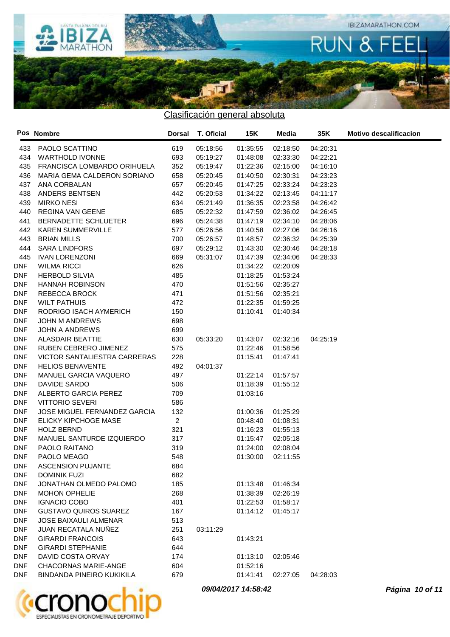

|     | Pos Nombre                          | <b>Dorsal</b>  | T. Oficial | 15K      | Media    | 35K      | <b>Motivo descalificacion</b> |
|-----|-------------------------------------|----------------|------------|----------|----------|----------|-------------------------------|
| 433 | PAOLO SCATTINO                      | 619            | 05:18:56   | 01:35:55 | 02:18:50 | 04:20:31 |                               |
| 434 | <b>WARTHOLD IVONNE</b>              | 693            | 05:19:27   | 01:48:08 | 02:33:30 | 04:22:21 |                               |
| 435 | FRANCISCA LOMBARDO ORIHUELA         | 352            | 05:19:47   | 01:22:36 | 02:15:00 | 04:16:10 |                               |
| 436 | MARIA GEMA CALDERON SORIANO         | 658            | 05:20:45   | 01:40:50 | 02:30:31 | 04:23:23 |                               |
| 437 | ANA CORBALAN                        | 657            | 05:20:45   | 01:47:25 | 02:33:24 | 04:23:23 |                               |
| 438 | ANDERS BENTSEN                      | 442            | 05:20:53   | 01:34:22 | 02:13:45 | 04:11:17 |                               |
| 439 | <b>MIRKO NESI</b>                   | 634            | 05:21:49   | 01:36:35 | 02:23:58 | 04:26:42 |                               |
| 440 | <b>REGINA VAN GEENE</b>             | 685            | 05:22:32   | 01:47:59 | 02:36:02 | 04:26:45 |                               |
| 441 | BERNADETTE SCHLUETER                | 696            | 05:24:38   | 01:47:19 | 02:34:10 | 04:28:06 |                               |
| 442 | <b>KAREN SUMMERVILLE</b>            | 577            | 05:26:56   | 01:40:58 | 02:27:06 | 04:26:16 |                               |
| 443 | <b>BRIAN MILLS</b>                  | 700            | 05:26:57   | 01:48:57 | 02:36:32 | 04:25:39 |                               |
| 444 | <b>SARA LINDFORS</b>                | 697            | 05:29:12   | 01:43:30 | 02:30:46 | 04:28:18 |                               |
| 445 | <b>IVAN LORENZONI</b>               | 669            | 05:31:07   | 01:47:39 | 02:34:06 | 04:28:33 |                               |
| DNF | <b>WILMA RICCI</b>                  | 626            |            | 01:34:22 | 02:20:09 |          |                               |
| DNF | <b>HERBOLD SILVIA</b>               | 485            |            | 01:18:25 | 01:53:24 |          |                               |
| DNF | <b>HANNAH ROBINSON</b>              | 470            |            | 01:51:56 | 02:35:27 |          |                               |
| DNF | <b>REBECCA BROCK</b>                | 471            |            | 01:51:56 | 02:35:21 |          |                               |
| DNF | <b>WILT PATHUIS</b>                 | 472            |            | 01:22:35 | 01:59:25 |          |                               |
| DNF | RODRIGO ISACH AYMERICH              | 150            |            | 01:10:41 | 01:40:34 |          |                               |
| DNF | <b>JOHN M ANDREWS</b>               | 698            |            |          |          |          |                               |
| DNF | <b>JOHN A ANDREWS</b>               | 699            |            |          |          |          |                               |
| DNF | <b>ALASDAIR BEATTIE</b>             | 630            | 05:33:20   | 01:43:07 | 02:32:16 | 04:25:19 |                               |
| DNF | RUBEN CEBRERO JIMENEZ               | 575            |            | 01:22:46 | 01:58:56 |          |                               |
| DNF | <b>VICTOR SANTALIESTRA CARRERAS</b> | 228            |            | 01:15:41 | 01:47:41 |          |                               |
| DNF | <b>HELIOS BENAVENTE</b>             | 492            | 04:01:37   |          |          |          |                               |
| DNF | MANUEL GARCIA VAQUERO               | 497            |            | 01:22:14 | 01:57:57 |          |                               |
| DNF | DAVIDE SARDO                        | 506            |            | 01:18:39 | 01:55:12 |          |                               |
| DNF | ALBERTO GARCIA PEREZ                | 709            |            | 01:03:16 |          |          |                               |
| DNF | <b>VITTORIO SEVERI</b>              | 586            |            |          |          |          |                               |
| DNF | <b>JOSE MIGUEL FERNANDEZ GARCIA</b> | 132            |            | 01:00:36 | 01:25:29 |          |                               |
| DNF | ELICKY KIPCHOGE MASE                | $\overline{2}$ |            | 00:48:40 | 01:08:31 |          |                               |
| DNF | <b>HOLZ BERND</b>                   | 321            |            | 01:16:23 | 01:55:13 |          |                               |
| DNF | MANUEL SANTURDE IZQUIERDO           | 317            |            | 01:15:47 | 02:05:18 |          |                               |
| DNF | PAOLO RAITANO                       | 319            |            | 01:24:00 | 02:08:04 |          |                               |
| DNF | PAOLO MEAGO                         | 548            |            | 01:30:00 | 02:11:55 |          |                               |
| DNF | <b>ASCENSION PUJANTE</b>            | 684            |            |          |          |          |                               |
| DNF | <b>DOMINIK FUZI</b>                 | 682            |            |          |          |          |                               |
| DNF | JONATHAN OLMEDO PALOMO              | 185            |            | 01:13:48 | 01:46:34 |          |                               |
| DNF | <b>MOHON OPHELIE</b>                | 268            |            | 01:38:39 | 02:26:19 |          |                               |
| DNF | <b>IGNACIO COBO</b>                 | 401            |            | 01:22:53 | 01:58:17 |          |                               |
| DNF | <b>GUSTAVO QUIROS SUAREZ</b>        | 167            |            | 01:14:12 | 01:45:17 |          |                               |
| DNF | <b>JOSE BAIXAULI ALMENAR</b>        | 513            |            |          |          |          |                               |
| DNF | JUAN RECATALA NUÑEZ                 | 251            | 03:11:29   |          |          |          |                               |
| DNF | <b>GIRARDI FRANCOIS</b>             | 643            |            | 01:43:21 |          |          |                               |
| DNF | <b>GIRARDI STEPHANIE</b>            | 644            |            |          |          |          |                               |
| DNF | DAVID COSTA ORVAY                   | 174            |            | 01:13:10 | 02:05:46 |          |                               |
| DNF | <b>CHACORNAS MARIE-ANGE</b>         | 604            |            | 01:52:16 |          |          |                               |
| DNF | <b>BINDANDA PINEIRO KUKIKILA</b>    | 679            |            | 01:41:41 | 02:27:05 | 04:28:03 |                               |
|     |                                     |                |            |          |          |          |                               |



**09/04/2017 14:58:42 Página 10 of 11**